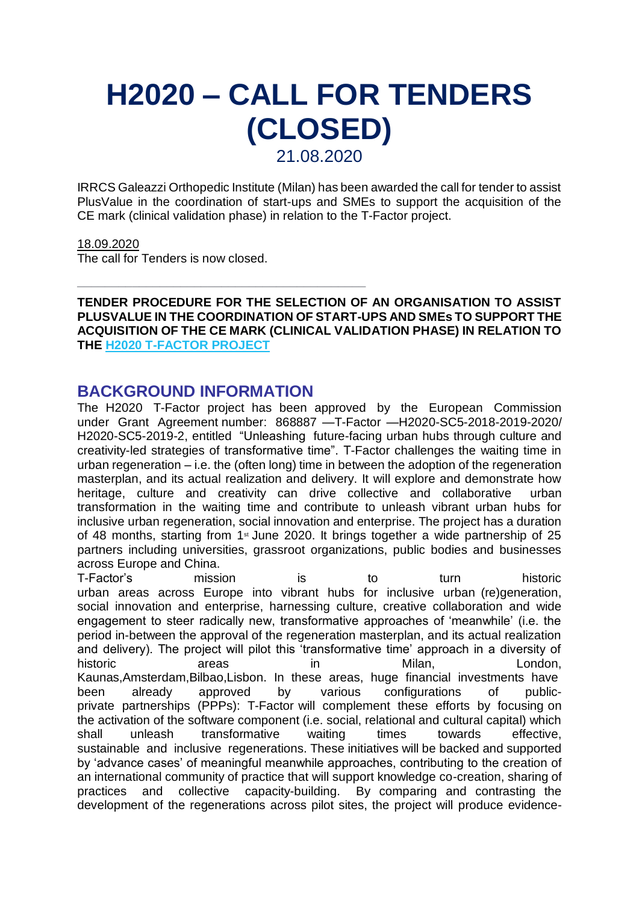# **H2020 – CALL FOR TENDERS (CLOSED)** 21.08.2020

IRRCS Galeazzi Orthopedic Institute (Milan) has been awarded the call for tender to assist PlusValue in the coordination of start-ups and SMEs to support the acquisition of the CE mark (clinical validation phase) in relation to the T-Factor project.

#### 18.09.2020

The call for Tenders is now closed.

**TENDER PROCEDURE FOR THE SELECTION OF AN ORGANISATION TO ASSIST PLUSVALUE IN THE COORDINATION OF START-UPS AND SMEs TO SUPPORT THE ACQUISITION OF THE CE MARK (CLINICAL VALIDATION PHASE) IN RELATION TO THE [H2020 T-FACTOR PROJECT](https://cordis.europa.eu/project/id/868887/it)**

#### **BACKGROUND INFORMATION**

\_\_\_\_\_\_\_\_\_\_\_\_\_\_\_\_\_\_\_\_\_\_\_\_\_\_\_\_\_\_\_\_\_\_\_\_\_\_\_\_\_\_

The H2020 T-Factor project has been approved by the European Commission under Grant Agreement number: 868887 —T-Factor —H2020-SC5-2018-2019-2020/ H2020-SC5-2019-2, entitled "Unleashing future-facing urban hubs through culture and creativity-led strategies of transformative time". T-Factor challenges the waiting time in urban regeneration – i.e. the (often long) time in between the adoption of the regeneration masterplan, and its actual realization and delivery. It will explore and demonstrate how heritage, culture and creativity can drive collective and collaborative urban transformation in the waiting time and contribute to unleash vibrant urban hubs for inclusive urban regeneration, social innovation and enterprise. The project has a duration of 48 months, starting from 1<sup>st</sup> June 2020. It brings together a wide partnership of 25 partners including universities, grassroot organizations, public bodies and businesses across Europe and China.

T-Factor's mission is to turn historic urban areas across Europe into vibrant hubs for inclusive urban (re)generation, social innovation and enterprise, harnessing culture, creative collaboration and wide engagement to steer radically new, transformative approaches of 'meanwhile' (i.e. the period in-between the approval of the regeneration masterplan, and its actual realization and delivery). The project will pilot this 'transformative time' approach in a diversity of historic areas in Milan, London, Kaunas,Amsterdam,Bilbao,Lisbon. In these areas, huge financial investments have been already approved by various configurations of publicprivate partnerships (PPPs): T-Factor will complement these efforts by focusing on the activation of the software component (i.e. social, relational and cultural capital) which shall unleash transformative waiting times towards effective, sustainable and inclusive regenerations. These initiatives will be backed and supported by 'advance cases' of meaningful meanwhile approaches, contributing to the creation of an international community of practice that will support knowledge co-creation, sharing of practices and collective capacity-building. By comparing and contrasting the development of the regenerations across pilot sites, the project will produce evidence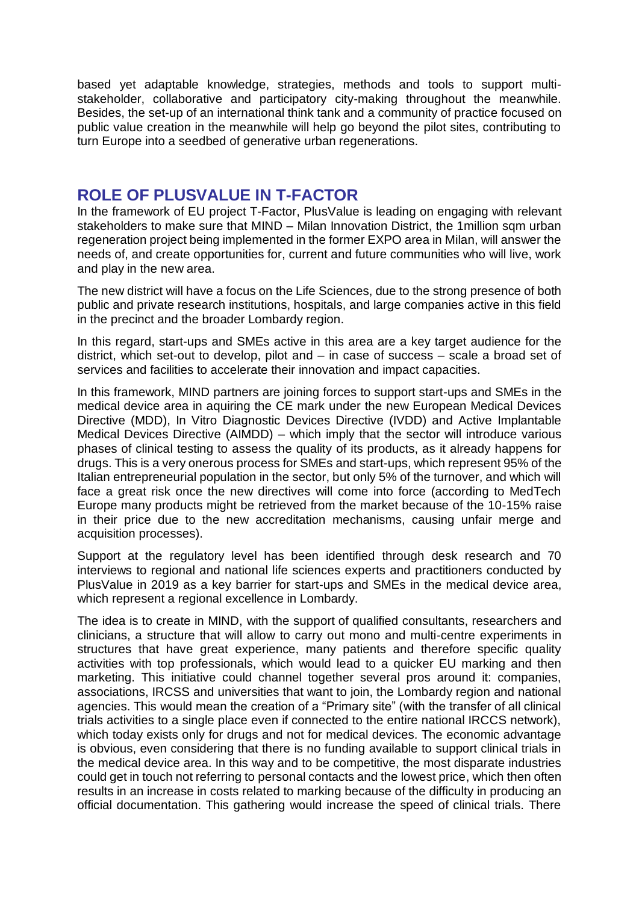based yet adaptable knowledge, strategies, methods and tools to support multistakeholder, collaborative and participatory city-making throughout the meanwhile. Besides, the set-up of an international think tank and a community of practice focused on public value creation in the meanwhile will help go beyond the pilot sites, contributing to turn Europe into a seedbed of generative urban regenerations.

## **ROLE OF PLUSVALUE IN T-FACTOR**

In the framework of EU project T-Factor, PlusValue is leading on engaging with relevant stakeholders to make sure that MIND – Milan Innovation District, the 1million sqm urban regeneration project being implemented in the former EXPO area in Milan, will answer the needs of, and create opportunities for, current and future communities who will live, work and play in the new area.

The new district will have a focus on the Life Sciences, due to the strong presence of both public and private research institutions, hospitals, and large companies active in this field in the precinct and the broader Lombardy region.

In this regard, start-ups and SMEs active in this area are a key target audience for the district, which set-out to develop, pilot and – in case of success – scale a broad set of services and facilities to accelerate their innovation and impact capacities.

In this framework, MIND partners are joining forces to support start-ups and SMEs in the medical device area in aquiring the CE mark under the new European Medical Devices Directive (MDD), In Vitro Diagnostic Devices Directive (IVDD) and Active Implantable Medical Devices Directive (AIMDD) – which imply that the sector will introduce various phases of clinical testing to assess the quality of its products, as it already happens for drugs. This is a very onerous process for SMEs and start-ups, which represent 95% of the Italian entrepreneurial population in the sector, but only 5% of the turnover, and which will face a great risk once the new directives will come into force (according to MedTech Europe many products might be retrieved from the market because of the 10-15% raise in their price due to the new accreditation mechanisms, causing unfair merge and acquisition processes).

Support at the regulatory level has been identified through desk research and 70 interviews to regional and national life sciences experts and practitioners conducted by PlusValue in 2019 as a key barrier for start-ups and SMEs in the medical device area, which represent a regional excellence in Lombardy.

The idea is to create in MIND, with the support of qualified consultants, researchers and clinicians, a structure that will allow to carry out mono and multi-centre experiments in structures that have great experience, many patients and therefore specific quality activities with top professionals, which would lead to a quicker EU marking and then marketing. This initiative could channel together several pros around it: companies, associations, IRCSS and universities that want to join, the Lombardy region and national agencies. This would mean the creation of a "Primary site" (with the transfer of all clinical trials activities to a single place even if connected to the entire national IRCCS network), which today exists only for drugs and not for medical devices. The economic advantage is obvious, even considering that there is no funding available to support clinical trials in the medical device area. In this way and to be competitive, the most disparate industries could get in touch not referring to personal contacts and the lowest price, which then often results in an increase in costs related to marking because of the difficulty in producing an official documentation. This gathering would increase the speed of clinical trials. There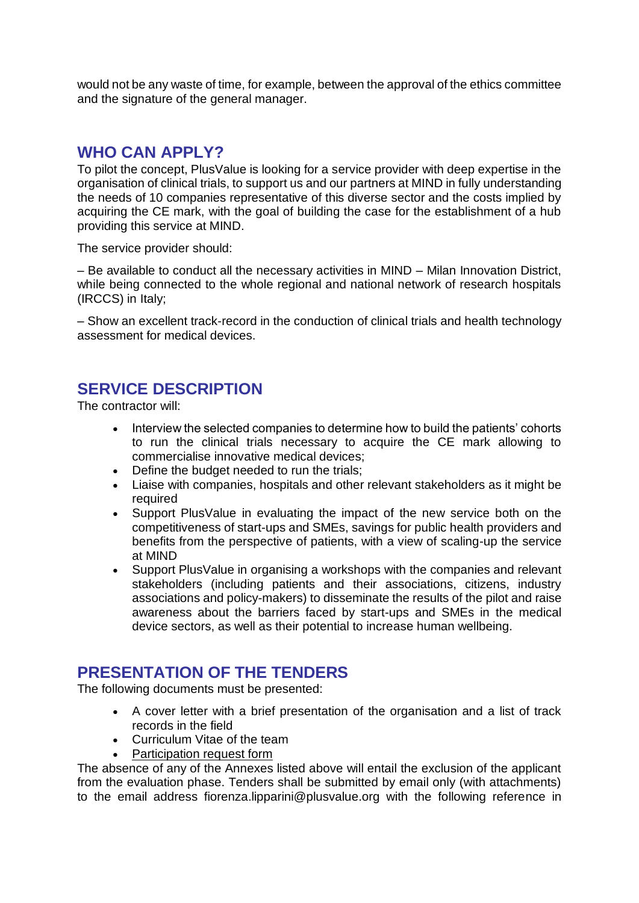would not be any waste of time, for example, between the approval of the ethics committee and the signature of the general manager.

## **WHO CAN APPLY?**

To pilot the concept, PlusValue is looking for a service provider with deep expertise in the organisation of clinical trials, to support us and our partners at MIND in fully understanding the needs of 10 companies representative of this diverse sector and the costs implied by acquiring the CE mark, with the goal of building the case for the establishment of a hub providing this service at MIND.

The service provider should:

– Be available to conduct all the necessary activities in MIND – Milan Innovation District, while being connected to the whole regional and national network of research hospitals (IRCCS) in Italy;

– Show an excellent track-record in the conduction of clinical trials and health technology assessment for medical devices.

# **SERVICE DESCRIPTION**

The contractor will:

- Interview the selected companies to determine how to build the patients' cohorts to run the clinical trials necessary to acquire the CE mark allowing to commercialise innovative medical devices;
- Define the budget needed to run the trials:
- Liaise with companies, hospitals and other relevant stakeholders as it might be required
- Support PlusValue in evaluating the impact of the new service both on the competitiveness of start-ups and SMEs, savings for public health providers and benefits from the perspective of patients, with a view of scaling-up the service at MIND
- Support PlusValue in organising a workshops with the companies and relevant stakeholders (including patients and their associations, citizens, industry associations and policy-makers) to disseminate the results of the pilot and raise awareness about the barriers faced by start-ups and SMEs in the medical device sectors, as well as their potential to increase human wellbeing.

# **PRESENTATION OF THE TENDERS**

The following documents must be presented:

- A cover letter with a brief presentation of the organisation and a list of track records in the field
- Curriculum Vitae of the team
- [Participation request form](https://plusvalueuk.sharepoint.com/sites/CompanyData/Shared%20Documents?id=%2Fsites%2FCompanyData%2FShared%20Documents%2FPlus%20Value%20Group%2FPlusValue%20Org%2FEuropean%20projects%2FLive%2FT%2DFactor%2FCall%20for%20tender%20PV%2FParticipation%5Frequest%5Fform%5FT%2DFactor%5Fdef%2Epdf&parent=%2Fsites%2FCompanyData%2FShared%20Documents%2FPlus%20Value%20Group%2FPlusValue%20Org%2FEuropean%20projects%2FLive%2FT%2DFactor%2FCall%20for%20tender%20PV)

The absence of any of the Annexes listed above will entail the exclusion of the applicant from the evaluation phase. Tenders shall be submitted by email only (with attachments) to the email address fiorenza.lipparini@plusvalue.org with the following reference in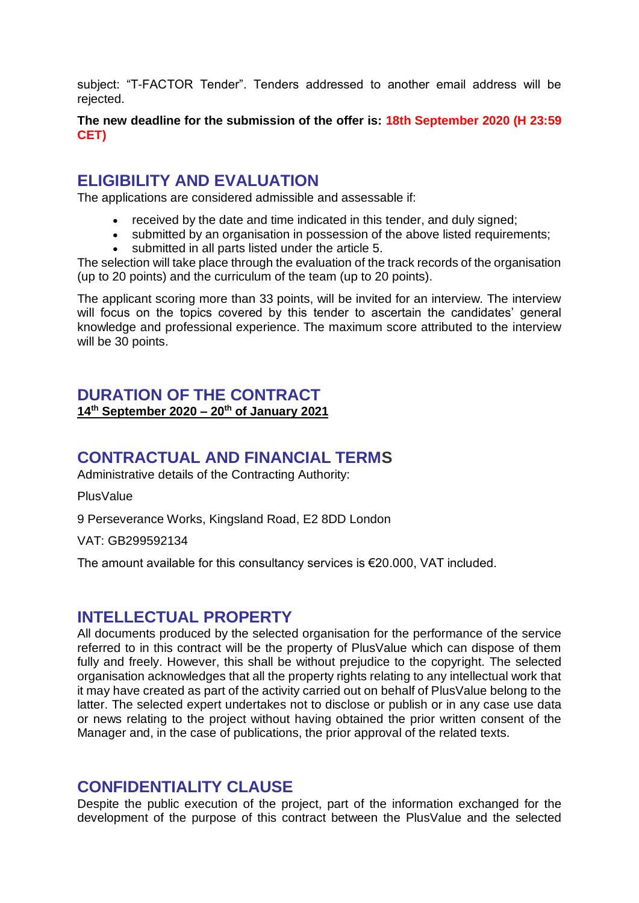subject: "T-FACTOR Tender". Tenders addressed to another email address will be rejected.

**The new deadline for the submission of the offer is: 18th September 2020 (H 23:59 CET)**

## **ELIGIBILITY AND EVALUATION**

The applications are considered admissible and assessable if:

- received by the date and time indicated in this tender, and duly signed;
- submitted by an organisation in possession of the above listed requirements;
- submitted in all parts listed under the article 5.

The selection will take place through the evaluation of the track records of the organisation (up to 20 points) and the curriculum of the team (up to 20 points).

The applicant scoring more than 33 points, will be invited for an interview. The interview will focus on the topics covered by this tender to ascertain the candidates' general knowledge and professional experience. The maximum score attributed to the interview will be 30 points.

#### **DURATION OF THE CONTRACT 14th September 2020 – 20th of January 2021**

## **CONTRACTUAL AND FINANCIAL TERMS**

Administrative details of the Contracting Authority:

**PlusValue** 

9 Perseverance Works, Kingsland Road, E2 8DD London

VAT: GB299592134

The amount available for this consultancy services is  $€20.000$ , VAT included.

#### **INTELLECTUAL PROPERTY**

All documents produced by the selected organisation for the performance of the service referred to in this contract will be the property of PlusValue which can dispose of them fully and freely. However, this shall be without prejudice to the copyright. The selected organisation acknowledges that all the property rights relating to any intellectual work that it may have created as part of the activity carried out on behalf of PlusValue belong to the latter. The selected expert undertakes not to disclose or publish or in any case use data or news relating to the project without having obtained the prior written consent of the Manager and, in the case of publications, the prior approval of the related texts.

#### **CONFIDENTIALITY CLAUSE**

Despite the public execution of the project, part of the information exchanged for the development of the purpose of this contract between the PlusValue and the selected